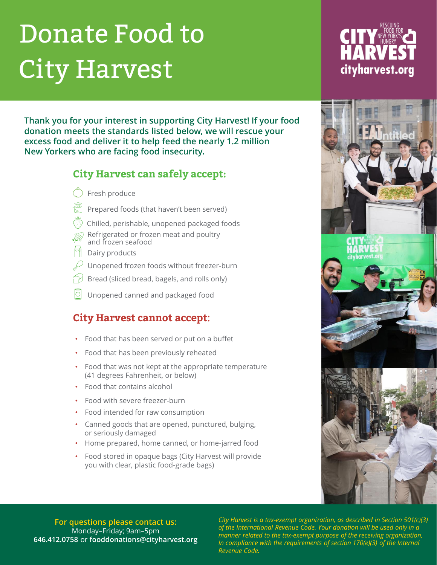## Donate Food to City Harvest

**Thank you for your interest in supporting City Harvest! If your food donation meets the standards listed below, we will rescue your excess food and deliver it to help feed the nearly 1.2 million New Yorkers who are facing food insecurity.**

#### **City Harvest can safely accept:**

- $\tilde{D}$  Fresh produce
- $\sqrt{s}$  Prepared foods (that haven't been served)
- Chilled, perishable, unopened packaged foods
- Refrigerated or frozen meat and poultry and frozen seafood
- Dairy products
- Unopened frozen foods without freezer-burn
- Bread (sliced bread, bagels, and rolls only)
- Unopened canned and packaged food

#### **City Harvest cannot accept:**

- Food that has been served or put on a buffet
- Food that has been previously reheated
- Food that was not kept at the appropriate temperature (41 degrees Fahrenheit, or below)
- Food that contains alcohol
- Food with severe freezer-burn
- Food intended for raw consumption
- Canned goods that are opened, punctured, bulging, or seriously damaged
- Home prepared, home canned, or home-jarred food
- Food stored in opaque bags (City Harvest will provide you with clear, plastic food-grade bags)

**For questions please contact us:**  Monday–Friday; 9am–5pm **646.412.0758** or **fooddonations@cityharvest.org** *City Harvest is a tax-exempt organization, as described in Section 501(c)(3) of the International Revenue Code. Your donation will be used only in a manner related to the tax-exempt purpose of the receiving organization, In compliance with the requirements of section 170(e)(3) of the Internal Revenue Code.*